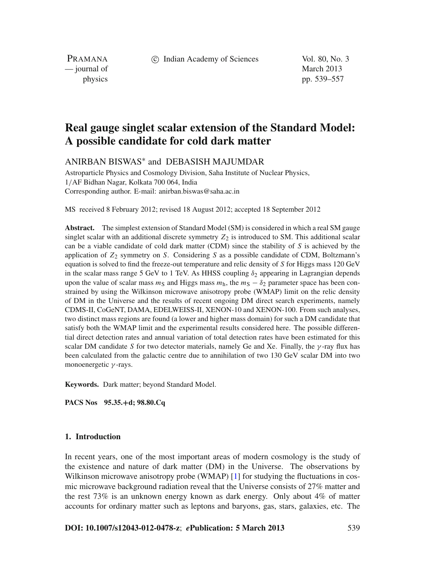c Indian Academy of Sciences Vol. 80, No. 3

PRAMANA — journal of March 2013

physics pp. 539–557

# **Real gauge singlet scalar extension of the Standard Model: A possible candidate for cold dark matter**

ANIRBAN BISWAS<sup>∗</sup> and DEBASISH MAJUMDAR

Astroparticle Physics and Cosmology Division, Saha Institute of Nuclear Physics, 1/AF Bidhan Nagar, Kolkata 700 064, India Corresponding author. E-mail: anirban.biswas@saha.ac.in

MS received 8 February 2012; revised 18 August 2012; accepted 18 September 2012

**Abstract.** The simplest extension of Standard Model (SM) is considered in which a real SM gauge singlet scalar with an additional discrete symmetry  $Z_2$  is introduced to SM. This additional scalar can be a viable candidate of cold dark matter (CDM) since the stability of *S* is achieved by the application of *Z*<sup>2</sup> symmetry on *S*. Considering *S* as a possible candidate of CDM, Boltzmann's equation is solved to find the freeze-out temperature and relic density of *S* for Higgs mass 120 GeV in the scalar mass range 5 GeV to 1 TeV. As HHSS coupling  $\delta_2$  appearing in Lagrangian depends upon the value of scalar mass  $m<sub>S</sub>$  and Higgs mass  $m<sub>h</sub>$ , the  $m<sub>S</sub> - \delta<sub>2</sub>$  parameter space has been constrained by using the Wilkinson microwave anisotropy probe (WMAP) limit on the relic density of DM in the Universe and the results of recent ongoing DM direct search experiments, namely CDMS-II, CoGeNT, DAMA, EDELWEISS-II, XENON-10 and XENON-100. From such analyses, two distinct mass regions are found (a lower and higher mass domain) for such a DM candidate that satisfy both the WMAP limit and the experimental results considered here. The possible differential direct detection rates and annual variation of total detection rates have been estimated for this scalar DM candidate *S* for two detector materials, namely Ge and Xe. Finally, the  $\gamma$ -ray flux has been calculated from the galactic centre due to annihilation of two 130 GeV scalar DM into two monoenergetic  $\gamma$ -rays.

**Keywords.** Dark matter; beyond Standard Model.

**PACS Nos 95.35.+d; 98.80.Cq**

## **1. Introduction**

In recent years, one of the most important areas of modern cosmology is the study of the existence and nature of dark matter (DM) in the Universe. The observations by Wilkinson microwave anisotropy probe (WMAP) [\[1](#page-17-0)] for studying the fluctuations in cosmic microwave background radiation reveal that the Universe consists of 27% matter and the rest 73% is an unknown energy known as dark energy. Only about 4% of matter accounts for ordinary matter such as leptons and baryons, gas, stars, galaxies, etc. The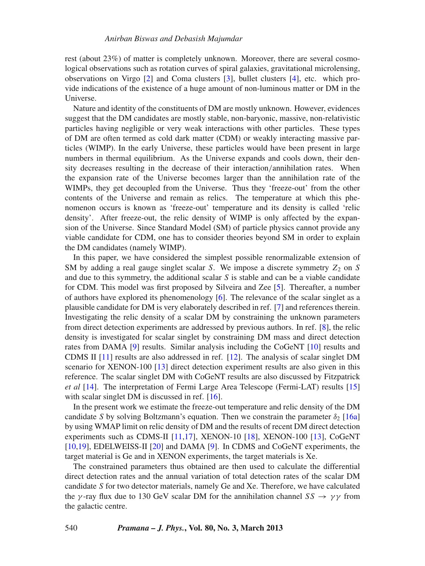rest (about 23%) of matter is completely unknown. Moreover, there are several cosmological observations such as rotation curves of spiral galaxies, gravitational microlensing, observations on Virgo [\[2\]](#page-17-1) and Coma clusters [\[3\]](#page-17-2), bullet clusters [\[4\]](#page-17-3), etc. which provide indications of the existence of a huge amount of non-luminous matter or DM in the Universe.

Nature and identity of the constituents of DM are mostly unknown. However, evidences suggest that the DM candidates are mostly stable, non-baryonic, massive, non-relativistic particles having negligible or very weak interactions with other particles. These types of DM are often termed as cold dark matter (CDM) or weakly interacting massive particles (WIMP). In the early Universe, these particles would have been present in large numbers in thermal equilibrium. As the Universe expands and cools down, their density decreases resulting in the decrease of their interaction/annihilation rates. When the expansion rate of the Universe becomes larger than the annihilation rate of the WIMPs, they get decoupled from the Universe. Thus they 'freeze-out' from the other contents of the Universe and remain as relics. The temperature at which this phenomenon occurs is known as 'freeze-out' temperature and its density is called 'relic density'. After freeze-out, the relic density of WIMP is only affected by the expansion of the Universe. Since Standard Model (SM) of particle physics cannot provide any viable candidate for CDM, one has to consider theories beyond SM in order to explain the DM candidates (namely WIMP).

In this paper, we have considered the simplest possible renormalizable extension of SM by adding a real gauge singlet scalar *S*. We impose a discrete symmetry  $Z_2$  on *S* and due to this symmetry, the additional scalar *S* is stable and can be a viable candidate for CDM. This model was first proposed by Silveira and Zee [\[5\]](#page-17-4). Thereafter, a number of authors have explored its phenomenology  $[6]$  $[6]$ . The relevance of the scalar singlet as a plausible candidate for DM is very elaborately described in ref. [\[7](#page-17-6)] and references therein. Investigating the relic density of a scalar DM by constraining the unknown parameters from direct detection experiments are addressed by previous authors. In ref. [\[8\]](#page-17-7), the relic density is investigated for scalar singlet by constraining DM mass and direct detection rates from DAMA [\[9](#page-17-8)] results. Similar analysis including the CoGeNT [\[10](#page-17-9)] results and CDMS II [\[11\]](#page-17-10) results are also addressed in ref. [\[12\]](#page-17-11). The analysis of scalar singlet DM scenario for XENON-100 [\[13\]](#page-17-12) direct detection experiment results are also given in this reference. The scalar singlet DM with CoGeNT results are also discussed by Fitzpatrick *et al* [\[14\]](#page-17-13). The interpretation of Fermi Large Area Telescope (Fermi-LAT) results [\[15\]](#page-17-14) with scalar singlet DM is discussed in ref. [\[16](#page-17-15)].

In the present work we estimate the freeze-out temperature and relic density of the DM candidate *S* by solving Boltzmann's equation. Then we constrain the parameter  $\delta_2$  [\[16a\]](#page-18-0) by using WMAP limit on relic density of DM and the results of recent DM direct detection experiments such as CDMS-II  $[11,17]$  $[11,17]$  $[11,17]$ , XENON-10  $[18]$  $[18]$ , XENON-100  $[13]$  $[13]$ , CoGeNT [\[10](#page-17-9)[,19\]](#page-18-3), EDELWEISS-II [\[20](#page-18-4)] and DAMA [\[9\]](#page-17-8). In CDMS and CoGeNT experiments, the target material is Ge and in XENON experiments, the target materials is Xe.

The constrained parameters thus obtained are then used to calculate the differential direct detection rates and the annual variation of total detection rates of the scalar DM candidate *S* for two detector materials, namely Ge and Xe. Therefore, we have calculated the *γ*-ray flux due to 130 GeV scalar DM for the annihilation channel  $SS \rightarrow \gamma \gamma$  from the galactic centre.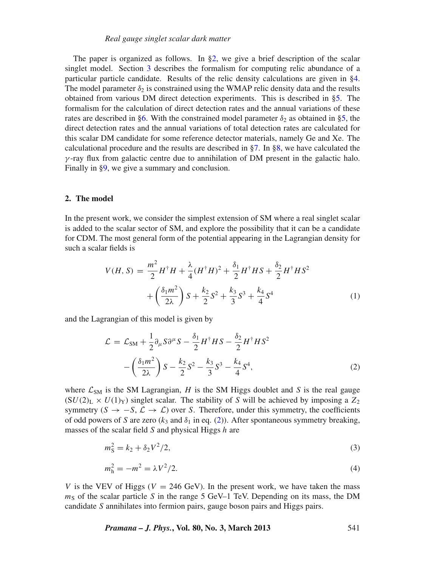The paper is organized as follows. In [§2,](#page-2-0) we give a brief description of the scalar singlet model. Section [3](#page-3-0) describes the formalism for computing relic abundance of a particular particle candidate. Results of the relic density calculations are given in [§4.](#page-4-0) The model parameter  $\delta_2$  is constrained using the WMAP relic density data and the results obtained from various DM direct detection experiments. This is described in [§5.](#page-6-0) The formalism for the calculation of direct detection rates and the annual variations of these rates are described in [§6.](#page-9-0) With the constrained model parameter  $\delta_2$  as obtained in [§5,](#page-6-0) the direct detection rates and the annual variations of total detection rates are calculated for this scalar DM candidate for some reference detector materials, namely Ge and Xe. The calculational procedure and the results are described in [§7.](#page-11-0) In [§8,](#page-13-0) we have calculated the  $\gamma$ -ray flux from galactic centre due to annihilation of DM present in the galactic halo. Finally in [§9,](#page-16-0) we give a summary and conclusion.

#### <span id="page-2-0"></span>**2. The model**

In the present work, we consider the simplest extension of SM where a real singlet scalar is added to the scalar sector of SM, and explore the possibility that it can be a candidate for CDM. The most general form of the potential appearing in the Lagrangian density for such a scalar fields is

$$
V(H, S) = \frac{m^2}{2} H^{\dagger} H + \frac{\lambda}{4} (H^{\dagger} H)^2 + \frac{\delta_1}{2} H^{\dagger} H S + \frac{\delta_2}{2} H^{\dagger} H S^2
$$

$$
+ \left(\frac{\delta_1 m^2}{2\lambda}\right) S + \frac{k_2}{2} S^2 + \frac{k_3}{3} S^3 + \frac{k_4}{4} S^4
$$
(1)

and the Lagrangian of this model is given by

<span id="page-2-1"></span>
$$
\mathcal{L} = \mathcal{L}_{SM} + \frac{1}{2} \partial_{\mu} S \partial^{\mu} S - \frac{\delta_1}{2} H^{\dagger} H S - \frac{\delta_2}{2} H^{\dagger} H S^2
$$

$$
-\left(\frac{\delta_1 m^2}{2\lambda}\right) S - \frac{k_2}{2} S^2 - \frac{k_3}{3} S^3 - \frac{k_4}{4} S^4,
$$
(2)

where  $\mathcal{L}_{SM}$  is the SM Lagrangian, *H* is the SM Higgs doublet and *S* is the real gauge  $(SU(2)_L \times U(1)_Y)$  singlet scalar. The stability of *S* will be achieved by imposing a  $Z_2$ symmetry  $(S \to -S, \mathcal{L} \to \mathcal{L})$  over *S*. Therefore, under this symmetry, the coefficients of odd powers of *S* are zero  $(k_3 \text{ and } \delta_1 \text{ in eq. (2))$  $(k_3 \text{ and } \delta_1 \text{ in eq. (2))$  $(k_3 \text{ and } \delta_1 \text{ in eq. (2))$ . After spontaneous symmetry breaking, masses of the scalar field *S* and physical Higgs *h* are

$$
m_S^2 = k_2 + \delta_2 V^2 / 2,\tag{3}
$$

$$
m_h^2 = -m^2 = \lambda V^2 / 2. \tag{4}
$$

*V* is the VEV of Higgs ( $V = 246$  GeV). In the present work, we have taken the mass  $m<sub>S</sub>$  of the scalar particle *S* in the range 5 GeV–1 TeV. Depending on its mass, the DM candidate *S* annihilates into fermion pairs, gauge boson pairs and Higgs pairs.

*Pramana – J. Phys.***, Vol. 80, No. 3, March 2013** 541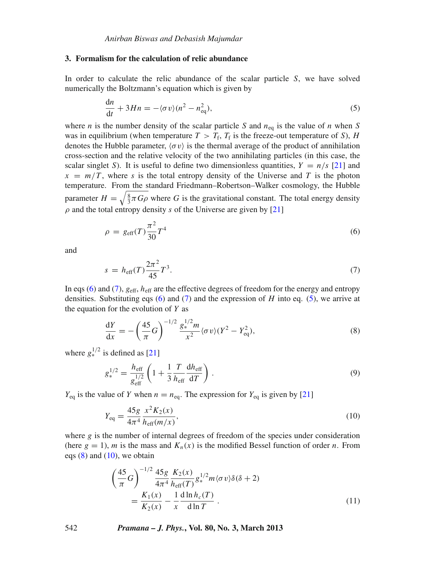#### <span id="page-3-0"></span>**3. Formalism for the calculation of relic abundance**

In order to calculate the relic abundance of the scalar particle *S*, we have solved numerically the Boltzmann's equation which is given by

<span id="page-3-3"></span>
$$
\frac{dn}{dt} + 3Hn = -\langle \sigma v \rangle (n^2 - n_{\text{eq}}^2),\tag{5}
$$

where *n* is the number density of the scalar particle *S* and  $n_{eq}$  is the value of *n* when *S* was in equilibrium (when temperature  $T > T_f$ ,  $T_f$  is the freeze-out temperature of *S*), *H* denotes the Hubble parameter,  $\langle \sigma v \rangle$  is the thermal average of the product of annihilation cross-section and the relative velocity of the two annihilating particles (in this case, the scalar singlet *S*). It is useful to define two dimensionless quantities,  $Y = n/s$  [\[21](#page-18-5)] and  $x = m/T$ , where *s* is the total entropy density of the Universe and *T* is the photon temperature. From the standard Friedmann–Robertson–Walker cosmology, the Hubble parameter  $H = \sqrt{\frac{8}{3}} \pi G \rho$  where *G* is the gravitational constant. The total energy density  $\rho$  and the total entropy density *s* of the Universe are given by [\[21](#page-18-5)]

<span id="page-3-1"></span>
$$
\rho = g_{\text{eff}}(T)\frac{\pi^2}{30}T^4\tag{6}
$$

and

<span id="page-3-2"></span>
$$
s = h_{\text{eff}}(T) \frac{2\pi^2}{45} T^3. \tag{7}
$$

In eqs [\(6\)](#page-3-1) and [\(7\)](#page-3-2),  $g_{\text{eff}}$ ,  $h_{\text{eff}}$  are the effective degrees of freedom for the energy and entropy densities. Substituting eqs [\(6\)](#page-3-1) and [\(7\)](#page-3-2) and the expression of *H* into eq. [\(5\)](#page-3-3), we arrive at the equation for the evolution of *Y* as

<span id="page-3-4"></span>
$$
\frac{dY}{dx} = -\left(\frac{45}{\pi}G\right)^{-1/2} \frac{g_*^{1/2}m}{x^2} \langle \sigma v \rangle (Y^2 - Y_{\text{eq}}^2),\tag{8}
$$

where  $g_*^{1/2}$  is defined as [\[21\]](#page-18-5)

$$
g_{*}^{1/2} = \frac{h_{\text{eff}}}{g_{\text{eff}}^{1/2}} \left( 1 + \frac{1}{3} \frac{T}{h_{\text{eff}}} \frac{dh_{\text{eff}}}{dT} \right). \tag{9}
$$

 $Y_{eq}$  is the value of *Y* when  $n = n_{eq}$ . The expression for  $Y_{eq}$  is given by [\[21](#page-18-5)]

<span id="page-3-5"></span>
$$
Y_{\text{eq}} = \frac{45g}{4\pi^4} \frac{x^2 K_2(x)}{h_{\text{eff}}(m/x)},
$$
\n(10)

where  $g$  is the number of internal degrees of freedom of the species under consideration (here  $g = 1$ ), *m* is the mass and  $K_n(x)$  is the modified Bessel function of order *n*. From eqs  $(8)$  and  $(10)$ , we obtain

<span id="page-3-6"></span>
$$
\left(\frac{45}{\pi}G\right)^{-1/2} \frac{45g}{4\pi^4} \frac{K_2(x)}{h_{\text{eff}}(T)} g_*^{1/2} m \langle \sigma v \rangle \delta(\delta + 2)
$$

$$
= \frac{K_1(x)}{K_2(x)} - \frac{1}{x} \frac{d \ln h_c(T)}{d \ln T} . \tag{11}
$$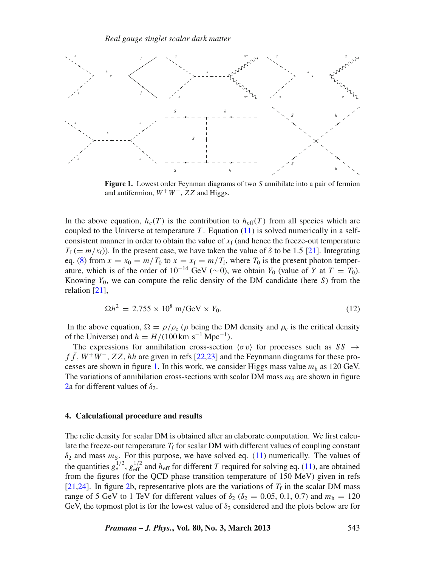*Real gauge singlet scalar dark matter*

<span id="page-4-1"></span>

**Figure 1.** Lowest order Feynman diagrams of two *S* annihilate into a pair of fermion and antifermion, *W*+*W*−, *Z Z* and Higgs.

In the above equation,  $h_c(T)$  is the contribution to  $h_{\text{eff}}(T)$  from all species which are coupled to the Universe at temperature *T*. Equation  $(11)$  is solved numerically in a selfconsistent manner in order to obtain the value of  $x_f$  (and hence the freeze-out temperature  $T_f$  (=  $m/x_f$ )). In the present case, we have taken the value of  $\delta$  to be 1.5 [\[21\]](#page-18-5). Integrating eq. [\(8\)](#page-3-4) from  $x = x_0 = m/T_0$  to  $x = x_f = m/T_f$ , where  $T_0$  is the present photon temperature, which is of the order of  $10^{-14}$  GeV ( $\sim$ 0), we obtain *Y*<sub>0</sub> (value of *Y* at *T* = *T*<sub>0</sub>). Knowing  $Y_0$ , we can compute the relic density of the DM candidate (here  $S$ ) from the relation [\[21](#page-18-5)],

<span id="page-4-2"></span>
$$
\Omega h^2 = 2.755 \times 10^8 \text{ m/GeV} \times Y_0. \tag{12}
$$

In the above equation,  $\Omega = \rho/\rho_c$  ( $\rho$  being the DM density and  $\rho_c$  is the critical density of the Universe) and  $h = H/(100 \text{ km s}^{-1} \text{ Mpc}^{-1}).$ 

The expressions for annihilation cross-section  $\langle \sigma v \rangle$  for processes such as *SS*  $\rightarrow$  $f f$ ,  $W^+W^-$ ,  $ZZ$ , *hh* are given in refs [\[22](#page-18-6)[,23](#page-18-7)] and the Feynmann diagrams for these processes are shown in figure [1.](#page-4-1) In this work, we consider Higgs mass value *m*<sup>h</sup> as 120 GeV. The variations of annihilation cross-sections with scalar DM mass  $m<sub>S</sub>$  are shown in figure [2a](#page-5-0) for different values of  $\delta_2$ .

#### <span id="page-4-0"></span>**4. Calculational procedure and results**

The relic density for scalar DM is obtained after an elaborate computation. We first calculate the freeze-out temperature  $T_f$  for scalar DM with different values of coupling constant  $\delta_2$  and mass  $m_S$ . For this purpose, we have solved eq. [\(11\)](#page-3-6) numerically. The values of the quantities  $g_*^{1/2}$ ,  $g_{\text{eff}}^{1/2}$  and  $h_{\text{eff}}$  for different *T* required for solving eq. [\(11\)](#page-3-6), are obtained from the figures (for the QCD phase transition temperature of 150 MeV) given in refs [\[21](#page-18-5)[,24\]](#page-18-8). In figure [2b](#page-5-0), representative plots are the variations of  $T_f$  in the scalar DM mass range of 5 GeV to 1 TeV for different values of  $\delta_2$  ( $\delta_2$  = 0.05, 0.1, 0.7) and  $m_h$  = 120 GeV, the topmost plot is for the lowest value of  $\delta_2$  considered and the plots below are for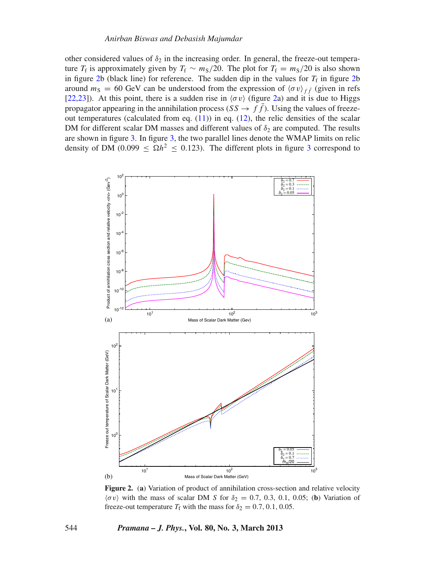other considered values of  $\delta_2$  in the increasing order. In general, the freeze-out temperature  $T_f$  is approximately given by  $T_f \sim m_S/20$ . The plot for  $T_f = m_S/20$  is also shown in figure [2b](#page-5-0) (black line) for reference. The sudden dip in the values for  $T_f$  in figure 2b around  $m<sub>S</sub> = 60$  GeV can be understood from the expression of  $\langle \sigma v \rangle_{f\bar{f}}$  (given in refs [\[22](#page-18-6)[,23\]](#page-18-7)). At this point, there is a sudden rise in  $\langle \sigma v \rangle$  (figure [2a](#page-5-0)) and it is due to Higgs propagator appearing in the annihilation process ( $SS \rightarrow f \bar{f}$ ). Using the values of freezeout temperatures (calculated from eq.  $(11)$ ) in eq.  $(12)$ , the relic densities of the scalar DM for different scalar DM masses and different values of  $\delta_2$  are computed. The results are shown in figure [3.](#page-6-1) In figure [3,](#page-6-1) the two parallel lines denote the WMAP limits on relic density of DM (0.099  $\leq \Omega h^2 \leq 0.123$  $\leq \Omega h^2 \leq 0.123$ ). The different plots in figure 3 correspond to

<span id="page-5-0"></span>

**Figure 2.** (**a**) Variation of product of annihilation cross-section and relative velocity  $\langle \sigma v \rangle$  with the mass of scalar DM *S* for  $\delta_2 = 0.7, 0.3, 0.1, 0.05$ ; (**b**) Variation of freeze-out temperature  $T_f$  with the mass for  $\delta_2 = 0.7, 0.1, 0.05$ .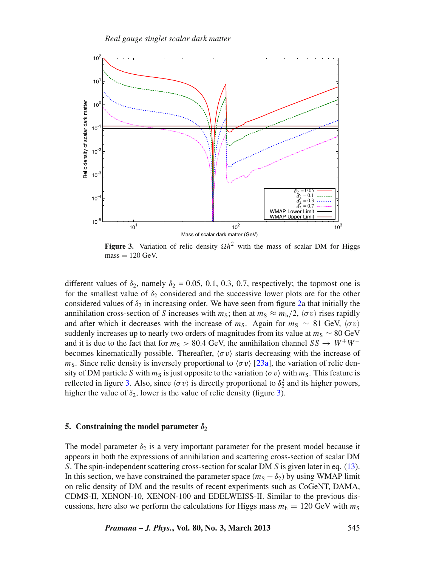<span id="page-6-1"></span>

**Figure 3.** Variation of relic density  $\Omega h^2$  with the mass of scalar DM for Higgs  $mass = 120$  GeV.

different values of  $\delta_2$ , namely  $\delta_2 = 0.05, 0.1, 0.3, 0.7$ , respectively; the topmost one is for the smallest value of  $\delta_2$  considered and the successive lower plots are for the other considered values of  $\delta_2$  in increasing order. We have seen from figure [2a](#page-5-0) that initially the annihilation cross-section of *S* increases with  $m<sub>S</sub>$ ; then at  $m<sub>S</sub> \approx m<sub>h</sub>/2$ ,  $\langle \sigma v \rangle$  rises rapidly and after which it decreases with the increase of  $m<sub>S</sub>$ . Again for  $m<sub>S</sub> \sim 81$  GeV,  $\langle \sigma v \rangle$ suddenly increases up to nearly two orders of magnitudes from its value at  $m<sub>S</sub> \sim 80 \text{ GeV}$ and it is due to the fact that for  $m<sub>S</sub> > 80.4$  GeV, the annihilation channel  $SS \rightarrow W^+W^$ becomes kinematically possible. Thereafter,  $\langle \sigma v \rangle$  starts decreasing with the increase of  $m<sub>S</sub>$ . Since relic density is inversely proportional to  $\langle \sigma v \rangle$  [\[23a](#page-18-9)], the variation of relic density of DM particle *S* with  $m_S$  is just opposite to the variation  $\langle \sigma v \rangle$  with  $m_S$ . This feature is reflected in figure [3.](#page-6-1) Also, since  $\langle \sigma v \rangle$  is directly proportional to  $\delta_2^2$  and its higher powers, higher the value of  $\delta_2$ , lower is the value of relic density (figure [3\)](#page-6-1).

#### <span id="page-6-0"></span>**5.** Constraining the model parameter  $\delta_2$

The model parameter  $\delta_2$  is a very important parameter for the present model because it appears in both the expressions of annihilation and scattering cross-section of scalar DM *S*. The spin-independent scattering cross-section for scalar DM *S* is given later in eq. [\(13\)](#page-9-1). In this section, we have constrained the parameter space ( $m_S - \delta_2$ ) by using WMAP limit on relic density of DM and the results of recent experiments such as CoGeNT, DAMA, CDMS-II, XENON-10, XENON-100 and EDELWEISS-II. Similar to the previous discussions, here also we perform the calculations for Higgs mass  $m_h = 120$  GeV with  $m_S$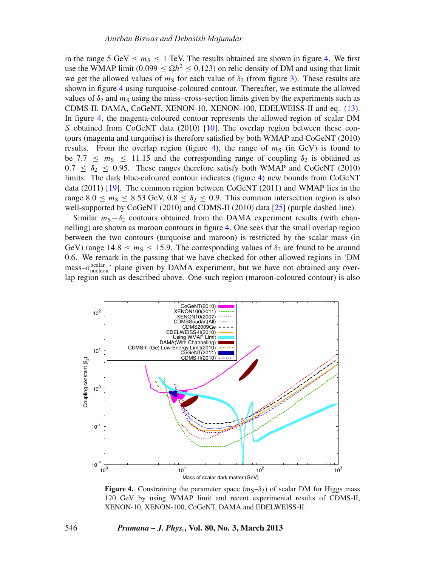in the range 5 GeV  $\leq m_S \leq 1$  TeV. The results obtained are shown in figure [4.](#page-7-0) We first use the WMAP limit (0.099  $\leq \Omega h^2 \leq 0.123$ ) on relic density of DM and using that limit we get the allowed values of  $m<sub>S</sub>$  for each value of  $\delta_2$  (from figure [3\)](#page-6-1). These results are shown in figure [4](#page-7-0) using turquoise-coloured contour. Thereafter, we estimate the allowed values of  $\delta_2$  and  $m_S$  using the mass–cross-section limits given by the experiments such as CDMS-II, DAMA, CoGeNT, XENON-10, XENON-100, EDELWEISS-II and eq. [\(13\)](#page-9-1). In figure [4,](#page-7-0) the magenta-coloured contour represents the allowed region of scalar DM *S* obtained from CoGeNT data (2010) [\[10\]](#page-17-9). The overlap region between these contours (magenta and turquoise) is therefore satisfied by both WMAP and CoGeNT (2010) results. From the overlap region (figure [4\)](#page-7-0), the range of  $m<sub>S</sub>$  (in GeV) is found to be 7.7  $\leq m_S \leq 11.15$  and the corresponding range of coupling  $\delta_2$  is obtained as  $0.7 \leq \delta_2 \leq 0.95$ . These ranges therefore satisfy both WMAP and CoGeNT (2010) limits. The dark blue-coloured contour indicates (figure [4\)](#page-7-0) new bounds from CoGeNT data (2011) [\[19](#page-18-3)]. The common region between CoGeNT (2011) and WMAP lies in the range 8.0  $\leq m_S \leq$  8.53 GeV, 0.8  $\leq \delta_2 \leq$  0.9. This common intersection region is also well-supported by CoGeNT (2010) and CDMS-II (2010) data [\[25\]](#page-18-10) (purple dashed line).

Similar *m*<sub>S</sub>−δ<sub>2</sub> contours obtained from the DAMA experiment results (with channelling) are shown as maroon contours in figure [4.](#page-7-0) One sees that the small overlap region between the two contours (turquoise and maroon) is restricted by the scalar mass (in GeV) range  $14.8 \le m_S \le 15.9$ . The corresponding values of  $\delta_2$  are found to be around 0.6. We remark in the passing that we have checked for other allowed regions in 'DM mass– $\sigma_{\text{nucleon}}^{\text{scalar}}$ , plane given by DAMA experiment, but we have not obtained any overlap region such as described above. One such region (maroon-coloured contour) is also

<span id="page-7-0"></span>

**Figure 4.** Constraining the parameter space  $(m<sub>S</sub> - \delta<sub>2</sub>)$  of scalar DM for Higgs mass 120 GeV by using WMAP limit and recent experimental results of CDMS-II, XENON-10, XENON-100, CoGeNT, DAMA and EDELWEISS-II.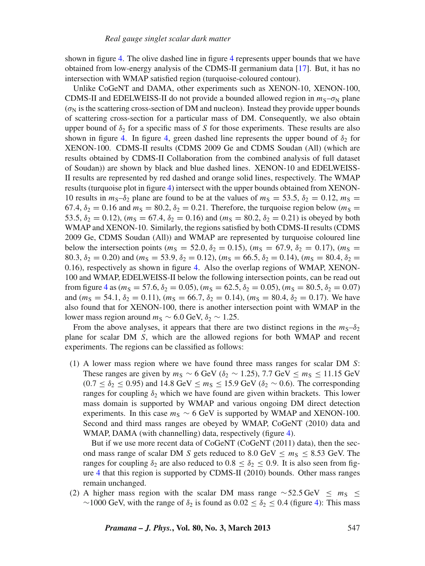shown in figure [4.](#page-7-0) The olive dashed line in figure [4](#page-7-0) represents upper bounds that we have obtained from low-energy analysis of the CDMS-II germanium data [\[17](#page-18-1)]. But, it has no intersection with WMAP satisfied region (turquoise-coloured contour).

Unlike CoGeNT and DAMA, other experiments such as XENON-10, XENON-100, CDMS-II and EDELWEISS-II do not provide a bounded allowed region in  $m_S - \sigma_N$  plane  $(\sigma_N)$  is the scattering cross-section of DM and nucleon). Instead they provide upper bounds of scattering cross-section for a particular mass of DM. Consequently, we also obtain upper bound of  $\delta_2$  for a specific mass of *S* for those experiments. These results are also shown in figure [4.](#page-7-0) In figure [4,](#page-7-0) green dashed line represents the upper bound of  $\delta_2$  for XENON-100. CDMS-II results (CDMS 2009 Ge and CDMS Soudan (All) (which are results obtained by CDMS-II Collaboration from the combined analysis of full dataset of Soudan)) are shown by black and blue dashed lines. XENON-10 and EDELWEISS-II results are represented by red dashed and orange solid lines, respectively. The WMAP results (turquoise plot in figure [4\)](#page-7-0) intersect with the upper bounds obtained from XENON-10 results in  $m_S-\delta_2$  plane are found to be at the values of  $m_S = 53.5$ ,  $\delta_2 = 0.12$ ,  $m_S =$ 67.4,  $\delta_2 = 0.16$  and  $m_S = 80.2$ ,  $\delta_2 = 0.21$ . Therefore, the turquoise region below ( $m_S =$ 53.5,  $\delta_2 = 0.12$ ), ( $m_S = 67.4$ ,  $\delta_2 = 0.16$ ) and ( $m_S = 80.2$ ,  $\delta_2 = 0.21$ ) is obeyed by both WMAP and XENON-10. Similarly, the regions satisfied by both CDMS-II results (CDMS 2009 Ge, CDMS Soudan (All)) and WMAP are represented by turquoise coloured line below the intersection points ( $m<sub>S</sub> = 52.0, \delta<sub>2</sub> = 0.15$ ), ( $m<sub>S</sub> = 67.9, \delta<sub>2</sub> = 0.17$ ), ( $m<sub>S</sub> =$ 80.3,  $\delta_2 = 0.20$ ) and ( $m_S = 53.9$ ,  $\delta_2 = 0.12$ ), ( $m_S = 66.5$ ,  $\delta_2 = 0.14$ ), ( $m_S = 80.4$ ,  $\delta_2 =$ 0.16), respectively as shown in figure [4.](#page-7-0) Also the overlap regions of WMAP, XENON-100 and WMAP, EDELWEISS-II below the following intersection points, can be read out from figure [4](#page-7-0) as ( $m_S = 57.6$ ,  $\delta_2 = 0.05$ ), ( $m_S = 62.5$ ,  $\delta_2 = 0.05$ ), ( $m_S = 80.5$ ,  $\delta_2 = 0.07$ ) and  $(m<sub>S</sub> = 54.1, \delta<sub>2</sub> = 0.11), (m<sub>S</sub> = 66.7, \delta<sub>2</sub> = 0.14), (m<sub>S</sub> = 80.4, \delta<sub>2</sub> = 0.17).$  We have also found that for XENON-100, there is another intersection point with WMAP in the lower mass region around  $m<sub>S</sub>$  ∼ 6.0 GeV,  $\delta_2$  ~ 1.25.

From the above analyses, it appears that there are two distinct regions in the  $m<sub>S</sub>$ – $\delta$ <sub>2</sub> plane for scalar DM *S*, which are the allowed regions for both WMAP and recent experiments. The regions can be classified as follows:

(1) A lower mass region where we have found three mass ranges for scalar DM *S*: These ranges are given by  $m_S \sim 6$  GeV ( $\delta_2 \sim 1.25$ ), 7.7 GeV  $\leq m_S \leq 11.15$  GeV  $(0.7 \le \delta_2 \le 0.95)$  and 14.8 GeV  $\le m_S \le 15.9$  GeV ( $\delta_2 \sim 0.6$ ). The corresponding ranges for coupling  $\delta_2$  which we have found are given within brackets. This lower mass domain is supported by WMAP and various ongoing DM direct detection experiments. In this case  $m<sub>S</sub> \sim 6$  GeV is supported by WMAP and XENON-100. Second and third mass ranges are obeyed by WMAP, CoGeNT (2010) data and WMAP, DAMA (with channelling) data, respectively (figure [4\)](#page-7-0).

But if we use more recent data of CoGeNT (CoGeNT (2011) data), then the second mass range of scalar DM *S* gets reduced to 8.0 GeV  $\leq m_S \leq 8.53$  GeV. The ranges for coupling  $\delta_2$  are also reduced to  $0.8 \le \delta_2 \le 0.9$ . It is also seen from figure [4](#page-7-0) that this region is supported by CDMS-II (2010) bounds. Other mass ranges remain unchanged.

(2) A higher mass region with the scalar DM mass range ∼52.5 GeV  $\leq m_S \leq$ ~1000 GeV, with the range of  $\delta_2$  is found as  $0.02 \le \delta_2 \le 0.4$  (figure [4\)](#page-7-0): This mass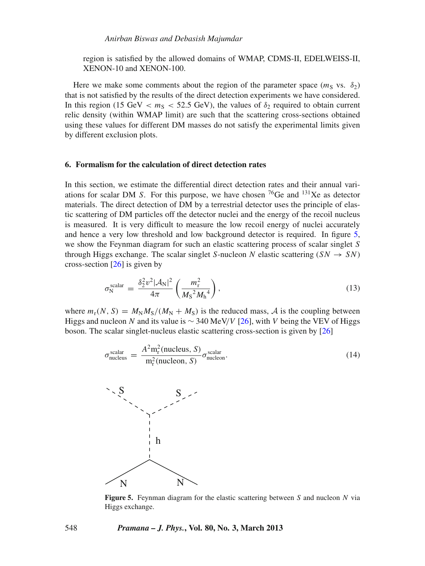### *Anirban Biswas and Debasish Majumdar*

region is satisfied by the allowed domains of WMAP, CDMS-II, EDELWEISS-II, XENON-10 and XENON-100.

Here we make some comments about the region of the parameter space  $(m_S \text{ vs. } \delta_2)$ that is not satisfied by the results of the direct detection experiments we have considered. In this region (15 GeV  $< m<sub>S</sub> < 52.5$  GeV), the values of  $\delta_2$  required to obtain current relic density (within WMAP limit) are such that the scattering cross-sections obtained using these values for different DM masses do not satisfy the experimental limits given by different exclusion plots.

## <span id="page-9-0"></span>**6. Formalism for the calculation of direct detection rates**

In this section, we estimate the differential direct detection rates and their annual variations for scalar DM *S*. For this purpose, we have chosen  ${}^{76}$ Ge and  ${}^{131}$ Xe as detector materials. The direct detection of DM by a terrestrial detector uses the principle of elastic scattering of DM particles off the detector nuclei and the energy of the recoil nucleus is measured. It is very difficult to measure the low recoil energy of nuclei accurately and hence a very low threshold and low background detector is required. In figure [5,](#page-9-2) we show the Feynman diagram for such an elastic scattering process of scalar singlet *S* through Higgs exchange. The scalar singlet *S*-nucleon *N* elastic scattering  $(SN \rightarrow SN)$ cross-section  $[26]$  is given by

<span id="page-9-1"></span>
$$
\sigma_{\rm N}^{\rm scalar} = \frac{\delta_2^2 v^2 |A_{\rm N}|^2}{4\pi} \left( \frac{m_{\rm r}^2}{M_{\rm S}^2 M_{\rm h}^4} \right),\tag{13}
$$

where  $m_r(N, S) = M_N M_S/(M_N + M_S)$  is the reduced mass, A is the coupling between Higgs and nucleon *N* and its value is ∼ 340 MeV/*V* [\[26\]](#page-18-11), with *V* being the VEV of Higgs boson. The scalar singlet-nucleus elastic scattering cross-section is given by [\[26\]](#page-18-11)

$$
\sigma_{\text{nucleus}}^{\text{scalar}} = \frac{A^2 \text{m}_\text{r}^2 (\text{nucleon}, S)}{\text{m}_\text{r}^2 (\text{nucleon}, S)} \sigma_{\text{nucleon}}^{\text{scalar}}.
$$
\n(14)

<span id="page-9-2"></span>

**Figure 5.** Feynman diagram for the elastic scattering between *S* and nucleon *N* via Higgs exchange.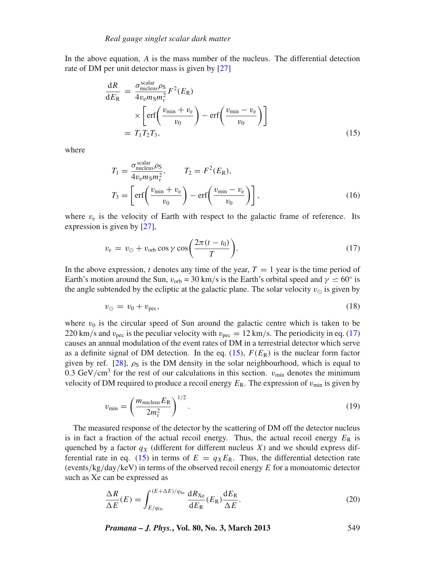In the above equation, *A* is the mass number of the nucleus. The differential detection rate of DM per unit detector mass is given by [\[27](#page-18-12)]

<span id="page-10-1"></span>
$$
\frac{dR}{dE_{R}} = \frac{\sigma_{\text{nucleus}}^{scalar} \rho_{\text{S}}}{4v_{\text{e}} m_{\text{S}} m_{\text{r}}^{2}} F^{2}(E_{R})
$$
\n
$$
\times \left[ \text{erf}\left(\frac{v_{\text{min}} + v_{\text{e}}}{v_{0}}\right) - \text{erf}\left(\frac{v_{\text{min}} - v_{\text{e}}}{v_{0}}\right) \right]
$$
\n
$$
= T_{1} T_{2} T_{3}, \qquad (15)
$$

where

<span id="page-10-2"></span>
$$
T_1 = \frac{\sigma_{\text{nucleus}}^{\text{scalar}} \rho_{\text{S}}}{4 v_{\text{e}} m_{\text{S}} m_{\text{r}}^2}, \qquad T_2 = F^2(E_{\text{R}}),
$$
  

$$
T_3 = \left[ \text{erf}\left(\frac{v_{\text{min}} + v_{\text{e}}}{v_0}\right) - \text{erf}\left(\frac{v_{\text{min}} - v_{\text{e}}}{v_0}\right) \right],
$$
 (16)

where  $v_e$  is the velocity of Earth with respect to the galactic frame of reference. Its expression is given by [\[27\]](#page-18-12),

<span id="page-10-0"></span>
$$
v_{\rm e} = v_{\odot} + v_{\rm orb} \cos \gamma \cos \left( \frac{2\pi (t - t_0)}{T} \right). \tag{17}
$$

In the above expression, *t* denotes any time of the year,  $T = 1$  year is the time period of Earth's motion around the Sun,  $v_{\text{orb}} = 30 \text{ km/s}$  is the Earth's orbital speed and  $\gamma \simeq 60^{\circ}$  is the angle subtended by the ecliptic at the galactic plane. The solar velocity  $v_{\odot}$  is given by

$$
v_{\odot} = v_0 + v_{\text{pec}},\tag{18}
$$

where  $v_0$  is the circular speed of Sun around the galactic centre which is taken to be 220 km/s and  $v_{\text{pec}}$  is the peculiar velocity with  $v_{\text{pec}} = 12$  km/s. The periodicity in eq. [\(17\)](#page-10-0) causes an annual modulation of the event rates of DM in a terrestrial detector which serve as a definite signal of DM detection. In the eq.  $(15)$ ,  $F(E_R)$  is the nuclear form factor given by ref. [\[28](#page-18-13)],  $\rho_s$  is the DM density in the solar neighbourhood, which is equal to 0.3 GeV/cm<sup>3</sup> for the rest of our calculations in this section.  $v_{\text{min}}$  denotes the minimum velocity of DM required to produce a recoil energy  $E_R$ . The expression of  $v_{min}$  is given by

<span id="page-10-3"></span>
$$
v_{\min} = \left(\frac{m_{\text{nucleus}} E_{\text{R}}}{2m_{\text{r}}^2}\right)^{1/2}.\tag{19}
$$

The measured response of the detector by the scattering of DM off the detector nucleus is in fact a fraction of the actual recoil energy. Thus, the actual recoil energy  $E_R$  is quenched by a factor  $q_X$  (different for different nucleus X) and we should express dif-ferential rate in eq. [\(15\)](#page-10-1) in terms of  $E = q_X E_R$ . Thus, the differential detection rate (events/kg/day/keV) in terms of the observed recoil energy *E* for a monoatomic detector such as Xe can be expressed as

$$
\frac{\Delta R}{\Delta E}(E) = \int_{E/q_{\text{Ge}}}^{(E+\Delta E)/q_{\text{Xe}}} \frac{\mathrm{d}R_{\text{Xe}}}{\mathrm{d}E_{\text{R}}}(E_{\text{R}}) \frac{\mathrm{d}E_{\text{R}}}{\Delta E}.
$$
\n(20)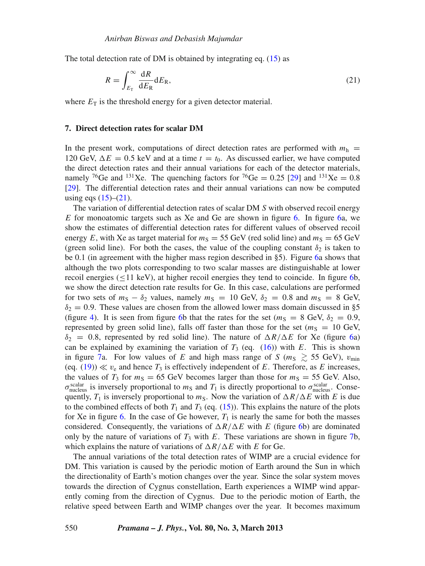The total detection rate of DM is obtained by integrating eq.  $(15)$  as

<span id="page-11-1"></span>
$$
R = \int_{E_{\rm T}}^{\infty} \frac{\mathrm{d}R}{\mathrm{d}E_{\rm R}} \mathrm{d}E_{\rm R},\tag{21}
$$

where  $E_T$  is the threshold energy for a given detector material.

## <span id="page-11-0"></span>**7. Direct detection rates for scalar DM**

In the present work, computations of direct detection rates are performed with  $m<sub>h</sub>$  = 120 GeV,  $\Delta E = 0.5$  keV and at a time  $t = t_0$ . As discussed earlier, we have computed the direct detection rates and their annual variations for each of the detector materials, namely <sup>76</sup>Ge and <sup>131</sup>Xe. The quenching factors for <sup>76</sup>Ge = 0.25 [\[29](#page-18-14)] and <sup>131</sup>Xe = 0.8 [\[29](#page-18-14)]. The differential detection rates and their annual variations can now be computed using eqs  $(15)$ – $(21)$ .

The variation of differential detection rates of scalar DM *S* with observed recoil energy *E* for monoatomic targets such as Xe and Ge are shown in figure [6.](#page-12-0) In figure [6a](#page-12-0), we show the estimates of differential detection rates for different values of observed recoil energy *E*, with Xe as target material for  $m<sub>S</sub> = 55$  GeV (red solid line) and  $m<sub>S</sub> = 65$  GeV (green solid line). For both the cases, the value of the coupling constant  $\delta_2$  is taken to be 0.1 (in agreement with the higher mass region described in §5). Figure [6a](#page-12-0) shows that although the two plots corresponding to two scalar masses are distinguishable at lower recoil energies (≤11 keV), at higher recoil energies they tend to coincide. In figure [6b](#page-12-0), we show the direct detection rate results for Ge. In this case, calculations are performed for two sets of  $m_S - \delta_2$  values, namely  $m_S = 10$  GeV,  $\delta_2 = 0.8$  and  $m_S = 8$  GeV,  $\delta_2 = 0.9$ . These values are chosen from the allowed lower mass domain discussed in §5 (figure [4\)](#page-7-0). It is seen from figure [6b](#page-12-0) that the rates for the set ( $m<sub>S</sub> = 8$  GeV,  $\delta_2 = 0.9$ , represented by green solid line), falls off faster than those for the set ( $m<sub>S</sub> = 10$  GeV,  $\delta_2$  = 0.8, represented by red solid line). The nature of  $\Delta R/\Delta E$  for Xe (figure [6a](#page-12-0)) can be explained by examining the variation of  $T_3$  (eq. [\(16\)](#page-10-2)) with  $E$ . This is shown in figure [7a](#page-13-1). For low values of *E* and high mass range of *S* ( $m_S \ge 55$  GeV),  $v_{\text{min}}$ (eq. [\(19\)](#page-10-3))  $\ll v_e$  and hence  $T_3$  is effectively independent of *E*. Therefore, as *E* increases, the values of  $T_3$  for  $m<sub>S</sub> = 65$  GeV becomes larger than those for  $m<sub>S</sub> = 55$  GeV. Also,  $\sigma_{\text{nucleus}}^{\text{scalar}}$  is inversely proportional to  $m_S$  and  $T_1$  is directly proportional to  $\sigma_{\text{nucleus}}^{\text{scalar}}$ . Consequently,  $T_1$  is inversely proportional to  $m_S$ . Now the variation of  $\Delta R/\Delta E$  with E is due to the combined effects of both  $T_1$  and  $T_3$  (eq. [\(15\)](#page-10-1)). This explains the nature of the plots for Xe in figure [6.](#page-12-0) In the case of Ge however,  $T_1$  is nearly the same for both the masses considered. Consequently, the variations of  $\Delta R/\Delta E$  with *E* (figure [6b](#page-12-0)) are dominated only by the nature of variations of  $T_3$  with  $E$ . These variations are shown in figure [7b](#page-13-1), which explains the nature of variations of  $\Delta R / \Delta E$  with *E* for Ge.

The annual variations of the total detection rates of WIMP are a crucial evidence for DM. This variation is caused by the periodic motion of Earth around the Sun in which the directionality of Earth's motion changes over the year. Since the solar system moves towards the direction of Cygnus constellation, Earth experiences a WIMP wind apparently coming from the direction of Cygnus. Due to the periodic motion of Earth, the relative speed between Earth and WIMP changes over the year. It becomes maximum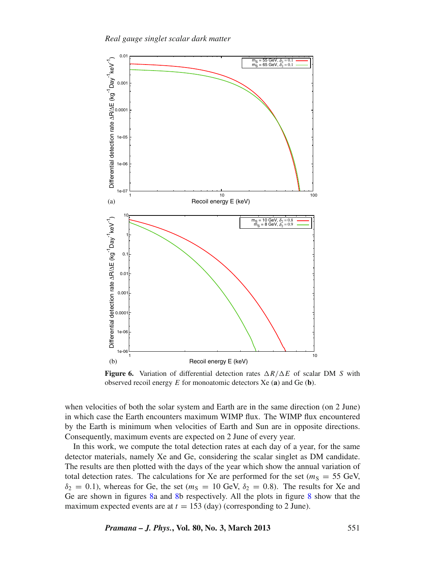<span id="page-12-0"></span>

**Figure 6.** Variation of differential detection rates  $\Delta R / \Delta E$  of scalar DM *S* with observed recoil energy *E* for monoatomic detectors Xe (**a**) and Ge (**b**).

when velocities of both the solar system and Earth are in the same direction (on 2 June) in which case the Earth encounters maximum WIMP flux. The WIMP flux encountered by the Earth is minimum when velocities of Earth and Sun are in opposite directions. Consequently, maximum events are expected on 2 June of every year.

In this work, we compute the total detection rates at each day of a year, for the same detector materials, namely Xe and Ge, considering the scalar singlet as DM candidate. The results are then plotted with the days of the year which show the annual variation of total detection rates. The calculations for Xe are performed for the set ( $m<sub>S</sub> = 55$  GeV,  $\delta_2 = 0.1$ ), whereas for Ge, the set ( $m<sub>S</sub> = 10$  GeV,  $\delta_2 = 0.8$ ). The results for Xe and Ge are shown in figures [8a](#page-14-0) and [8b](#page-14-0) respectively. All the plots in figure [8](#page-14-0) show that the maximum expected events are at  $t = 153$  (day) (corresponding to 2 June).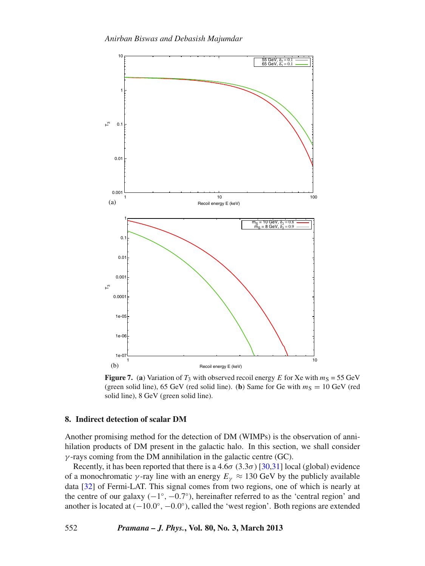<span id="page-13-1"></span>

**Figure 7.** (a) Variation of  $T_3$  with observed recoil energy *E* for Xe with  $m<sub>S</sub> = 55$  GeV (green solid line), 65 GeV (red solid line). (**b**) Same for Ge with  $m<sub>S</sub> = 10$  GeV (red solid line), 8 GeV (green solid line).

## <span id="page-13-0"></span>**8. Indirect detection of scalar DM**

Another promising method for the detection of DM (WIMPs) is the observation of annihilation products of DM present in the galactic halo. In this section, we shall consider  $\gamma$ -rays coming from the DM annihilation in the galactic centre (GC).

Recently, it has been reported that there is a  $4.6\sigma$  (3.3 $\sigma$ ) [\[30](#page-18-15)[,31](#page-18-16)] local (global) evidence of a monochromatic  $\gamma$ -ray line with an energy  $E_{\gamma} \approx 130$  GeV by the publicly available data [\[32\]](#page-18-17) of Fermi-LAT. This signal comes from two regions, one of which is nearly at the centre of our galaxy  $(-1<sup>°</sup>, -0.7<sup>°</sup>)$ , hereinafter referred to as the 'central region' and another is located at  $(-10.0°, -0.0°)$ , called the 'west region'. Both regions are extended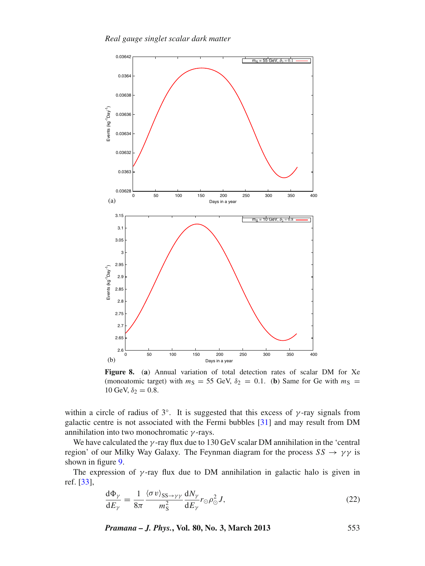*Real gauge singlet scalar dark matter*

<span id="page-14-0"></span>

**Figure 8.** (**a**) Annual variation of total detection rates of scalar DM for Xe (monoatomic target) with  $m<sub>S</sub> = 55$  GeV,  $\delta_2 = 0.1$ . (**b**) Same for Ge with  $m<sub>S</sub> =$ 10 GeV,  $\delta_2 = 0.8$ .

within a circle of radius of  $3°$ . It is suggested that this excess of  $\gamma$ -ray signals from galactic centre is not associated with the Fermi bubbles [\[31\]](#page-18-16) and may result from DM annihilation into two monochromatic  $\gamma$ -rays.

We have calculated the  $\gamma$ -ray flux due to 130 GeV scalar DM annihilation in the 'central region' of our Milky Way Galaxy. The Feynman diagram for the process  $SS \rightarrow \gamma \gamma$  is shown in figure [9.](#page-15-0)

The expression of  $\gamma$ -ray flux due to DM annihilation in galactic halo is given in ref. [\[33](#page-18-18)],

<span id="page-14-1"></span>
$$
\frac{\mathrm{d}\Phi_{\gamma}}{\mathrm{d}E_{\gamma}} = \frac{1}{8\pi} \frac{\langle \sigma v \rangle_{\mathrm{SS}\to\gamma\gamma}}{m_{\mathrm{S}}^2} \frac{\mathrm{d}N_{\gamma}}{\mathrm{d}E_{\gamma}} r_{\odot} \rho_{\odot}^2 J,\tag{22}
$$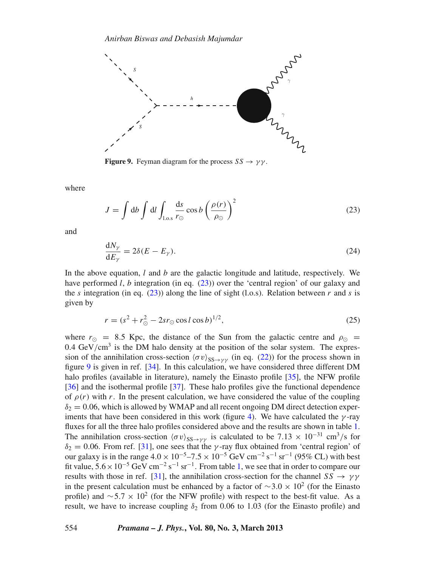<span id="page-15-0"></span>

**Figure 9.** Feyman diagram for the process  $SS \rightarrow \gamma \gamma$ .

where

<span id="page-15-1"></span>
$$
J = \int \mathrm{d}b \int \mathrm{d}l \int_{\text{l.o.s}} \frac{\mathrm{d}s}{r_{\odot}} \cos b \left(\frac{\rho(r)}{\rho_{\odot}}\right)^2 \tag{23}
$$

and

$$
\frac{dN_{\gamma}}{dE_{\gamma}} = 2\delta(E - E_{\gamma}).\tag{24}
$$

In the above equation, *l* and *b* are the galactic longitude and latitude, respectively. We have performed *l*, *b* integration (in eq. [\(23\)](#page-15-1)) over the 'central region' of our galaxy and the *s* integration (in eq.  $(23)$ ) along the line of sight (l.o.s). Relation between *r* and *s* is given by

$$
r = (s2 + ro2 - 2sro \cos l \cos l)1/2,
$$
 (25)

where  $r_{\odot}$  = 8.5 Kpc, the distance of the Sun from the galactic centre and  $\rho_{\odot}$  =  $0.4 \text{ GeV/cm}^3$  is the DM halo density at the position of the solar system. The expression of the annihilation cross-section  $\langle \sigma v \rangle_{SS \to \gamma\gamma}$  (in eq. [\(22\)](#page-14-1)) for the process shown in figure [9](#page-15-0) is given in ref. [\[34](#page-18-19)]. In this calculation, we have considered three different DM halo profiles (available in literature), namely the Einasto profile [\[35\]](#page-18-20), the NFW profile [\[36](#page-18-21)] and the isothermal profile [\[37](#page-18-22)]. These halo profiles give the functional dependence of  $\rho(r)$  with r. In the present calculation, we have considered the value of the coupling  $\delta_2 = 0.06$ , which is allowed by WMAP and all recent ongoing DM direct detection exper-iments that have been considered in this work (figure [4\)](#page-7-0). We have calculated the  $\gamma$ -ray fluxes for all the three halo profiles considered above and the results are shown in table [1.](#page-16-1) The annihilation cross-section  $\langle \sigma v \rangle_{SS \to \gamma\gamma}$  is calculated to be 7.13 × 10<sup>-31</sup> cm<sup>3</sup>/s for  $\delta_2 = 0.06$ . From ref. [\[31](#page-18-16)], one sees that the  $\gamma$ -ray flux obtained from 'central region' of our galaxy is in the range  $4.0 \times 10^{-5} - 7.5 \times 10^{-5}$  GeV cm<sup>-2</sup> s<sup>-1</sup> sr<sup>-1</sup> (95% CL) with best fit value,  $5.6 \times 10^{-5}$  GeV cm<sup>-2</sup> s<sup>-1</sup> sr<sup>-1</sup>. From table [1,](#page-16-1) we see that in order to compare our results with those in ref. [\[31](#page-18-16)], the annihilation cross-section for the channel *SS*  $\rightarrow \gamma \gamma$ in the present calculation must be enhanced by a factor of  $\sim$ 3.0 × 10<sup>2</sup> (for the Einasto profile) and  $\sim$  5.7 × 10<sup>2</sup> (for the NFW profile) with respect to the best-fit value. As a result, we have to increase coupling  $\delta_2$  from 0.06 to 1.03 (for the Einasto profile) and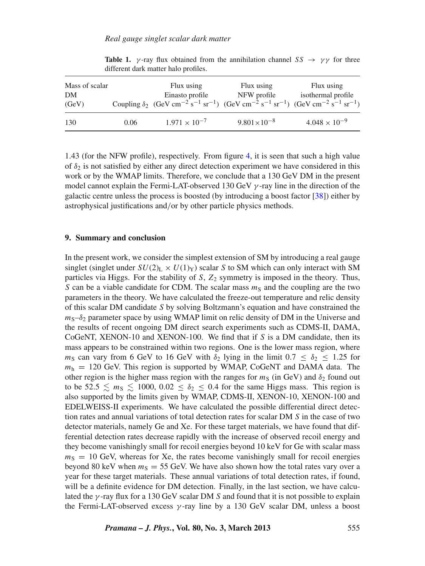<span id="page-16-1"></span>

| Mass of scalar<br>DM<br>(GeV) |      | Flux using<br>Einasto profile | Flux using<br>NFW profile<br>Coupling $\delta_2$ (GeV cm <sup>-2</sup> s <sup>-1</sup> sr <sup>-1</sup> ) (GeV cm <sup>-2</sup> s <sup>-1</sup> sr <sup>-1</sup> ) (GeV cm <sup>-2</sup> s <sup>-1</sup> sr <sup>-1</sup> ) | Flux using<br>isothermal profile |
|-------------------------------|------|-------------------------------|-----------------------------------------------------------------------------------------------------------------------------------------------------------------------------------------------------------------------------|----------------------------------|
| 130                           | 0.06 | $1.971 \times 10^{-7}$        | $9.801 \times 10^{-8}$                                                                                                                                                                                                      | $4.048 \times 10^{-9}$           |

**Table 1.** γ-ray flux obtained from the annihilation channel  $SS \rightarrow \gamma \gamma$  for three different dark matter halo profiles.

1.43 (for the NFW profile), respectively. From figure [4,](#page-7-0) it is seen that such a high value of  $\delta_2$  is not satisfied by either any direct detection experiment we have considered in this work or by the WMAP limits. Therefore, we conclude that a 130 GeV DM in the present model cannot explain the Fermi-LAT-observed 130 GeV  $\gamma$ -ray line in the direction of the galactic centre unless the process is boosted (by introducing a boost factor [\[38](#page-18-23)]) either by astrophysical justifications and/or by other particle physics methods.

# <span id="page-16-0"></span>**9. Summary and conclusion**

In the present work, we consider the simplest extension of SM by introducing a real gauge singlet (singlet under  $SU(2)_L \times U(1)_Y$ ) scalar *S* to SM which can only interact with SM particles via Higgs. For the stability of *S*, *Z*<sup>2</sup> symmetry is imposed in the theory. Thus, *S* can be a viable candidate for CDM. The scalar mass  $m<sub>S</sub>$  and the coupling are the two parameters in the theory. We have calculated the freeze-out temperature and relic density of this scalar DM candidate *S* by solving Boltzmann's equation and have constrained the  $m_S-\delta_2$  parameter space by using WMAP limit on relic density of DM in the Universe and the results of recent ongoing DM direct search experiments such as CDMS-II, DAMA, CoGeNT, XENON-10 and XENON-100. We find that if *S* is a DM candidate, then its mass appears to be constrained within two regions. One is the lower mass region, where  $m<sub>S</sub>$  can vary from 6 GeV to 16 GeV with  $\delta_2$  lying in the limit  $0.7 \leq \delta_2 \leq 1.25$  for  $m_h$  = 120 GeV. This region is supported by WMAP, CoGeNT and DAMA data. The other region is the higher mass region with the ranges for  $m<sub>S</sub>$  (in GeV) and  $\delta<sub>2</sub>$  found out to be  $52.5 \le m_S \le 1000$ ,  $0.02 \le \delta_2 \le 0.4$  for the same Higgs mass. This region is also supported by the limits given by WMAP, CDMS-II, XENON-10, XENON-100 and EDELWEISS-II experiments. We have calculated the possible differential direct detection rates and annual variations of total detection rates for scalar DM *S* in the case of two detector materials, namely Ge and Xe. For these target materials, we have found that differential detection rates decrease rapidly with the increase of observed recoil energy and they become vanishingly small for recoil energies beyond 10 keV for Ge with scalar mass  $m<sub>S</sub> = 10$  GeV, whereas for Xe, the rates become vanishingly small for recoil energies beyond 80 keV when  $m<sub>S</sub> = 55$  GeV. We have also shown how the total rates vary over a year for these target materials. These annual variations of total detection rates, if found, will be a definite evidence for DM detection. Finally, in the last section, we have calculated the γ -ray flux for a 130 GeV scalar DM *S* and found that it is not possible to explain the Fermi-LAT-observed excess  $\gamma$ -ray line by a 130 GeV scalar DM, unless a boost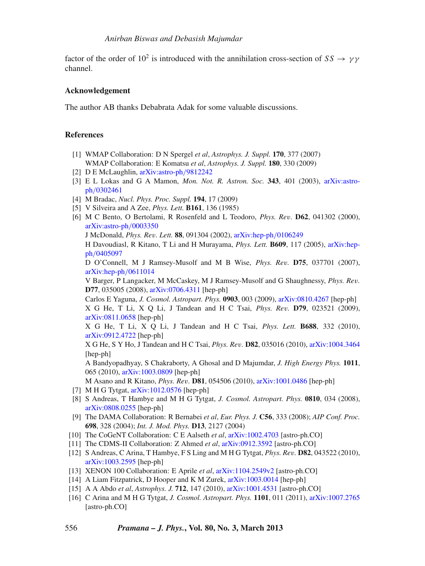factor of the order of 10<sup>2</sup> is introduced with the annihilation cross-section of  $SS \rightarrow \gamma\gamma$ channel.

# **Acknowledgement**

The author AB thanks Debabrata Adak for some valuable discussions.

# **References**

- <span id="page-17-0"></span>[1] WMAP Collaboration: D N Spergel *et al*, *Astrophys. J. Suppl.* **170**, 377 (2007) WMAP Collaboration: E Komatsu *et al*, *Astrophys. J. Suppl.* **180**, 330 (2009)
- <span id="page-17-1"></span>[2] D E McLaughlin, [arXiv:astro-ph](http://arxiv.org/abs/astro-ph/9812242)/9812242
- <span id="page-17-2"></span>[3] E L Lokas and G A Mamon, *Mon. Not. R. Astron. Soc.* **343**, 401 (2003), [arXiv:astro](http://arxiv.org/abs/astro-ph/0302461)ph/[0302461](http://arxiv.org/abs/astro-ph/0302461)
- <span id="page-17-3"></span>[4] M Bradac, *Nucl. Phys. Proc. Suppl.* **194**, 17 (2009)
- <span id="page-17-4"></span>[5] V Silveira and A Zee, *Phys. Lett.* **B161**, 136 (1985)
- <span id="page-17-5"></span>[6] M C Bento, O Bertolami, R Rosenfeld and L Teodoro, *Phys. Re*v*.* **D62**, 041302 (2000), [arXiv:astro-ph](http://arxiv.org/abs/astro-ph/0003350)/0003350 J McDonald, *Phys. Re*v*. Lett.* **88**, 091304 (2002), [arXiv:hep-ph](http://arxiv.org/abs/hep-ph/0106249)/0106249

H Davoudiasl, R Kitano, T Li and H Murayama, *Phys. Lett.* **B609**, 117 (2005), [arXiv:hep](http://arxiv.org/abs/hep-ph/0405097)ph/[0405097](http://arxiv.org/abs/hep-ph/0405097)

D O'Connell, M J Ramsey-Musolf and M B Wise, *Phys. Re*v*.* **D75**, 037701 (2007), [arXiv:hep-ph](http://arxiv.org/abs/hep-ph/0611014)/0611014

V Barger, P Langacker, M McCaskey, M J Ramsey-Musolf and G Shaughnessy, *Phys. Re*v*.* **D77**, 035005 (2008), [arXiv:0706.4311](http://arxiv.org/abs/0706.4311) [hep-ph]

Carlos E Yaguna, *J. Cosmol. Astropart. Phys.* **0903**, 003 (2009), [arXiv:0810.4267](http://arxiv.org/abs/0810.4267) [hep-ph] X G He, T Li, X Q Li, J Tandean and H C Tsai, *Phys. Re*v*.* **D79**, 023521 (2009), [arXiv:0811.0658](http://arxiv.org/abs/0811.0658) [hep-ph]

X G He, T Li, X Q Li, J Tandean and H C Tsai, *Phys. Lett.* **B688**, 332 (2010), [arXiv:0912.4722](http://arxiv.org/abs/0912.4722) [hep-ph]

X G He, S Y Ho, J Tandean and H C Tsai, *Phys. Re*v*.* **D82**, 035016 (2010), [arXiv:1004.3464](http://arxiv.org/abs/1004.3464) [hep-ph]

A Bandyopadhyay, S Chakraborty, A Ghosal and D Majumdar, *J. High Energy Phys.* **1011**, 065 (2010), [arXiv:1003.0809](http://arxiv.org/abs/1003.0809) [hep-ph]

M Asano and R Kitano, *Phys. Re*v*.* **D81**, 054506 (2010), [arXiv:1001.0486](http://arxiv.org/abs/1001.0486) [hep-ph]

- <span id="page-17-6"></span>[7] M H G Tytgat, [arXiv:1012.0576](http://arxiv.org/abs/1012.0576) [hep-ph]
- <span id="page-17-7"></span>[8] S Andreas, T Hambye and M H G Tytgat, *J. Cosmol. Astropart. Phys.* **0810**, 034 (2008), [arXiv:0808.0255](http://arxiv.org/abs/0808.0255) [hep-ph]
- <span id="page-17-8"></span>[9] The DAMA Collaboration: R Bernabei *et al*, *Eur. Phys. J.* **C56**, 333 (2008); *AIP Conf. Proc.* **698**, 328 (2004); *Int. J. Mod. Phys.* **D13**, 2127 (2004)
- <span id="page-17-9"></span>[10] The CoGeNT Collaboration: C E Aalseth *et al*, [arXiv:1002.4703](http://arxiv.org/abs/1002.4703) [astro-ph.CO]
- <span id="page-17-10"></span>[11] The CDMS-II Collaboration: Z Ahmed *et al*, [arXiv:0912.3592](http://arxiv.org/abs/0912.3592) [astro-ph.CO]
- <span id="page-17-11"></span>[12] S Andreas, C Arina, T Hambye, F S Ling and M H G Tytgat, *Phys. Re*v*.* **D82**, 043522 (2010), [arXiv:1003.2595](http://arxiv.org/abs/1003.2595) [hep-ph]
- <span id="page-17-12"></span>[13] XENON 100 Collaboration: E Aprile *et al*, [arXiv:1104.2549v2](http://arxiv.org/abs/1104.2549v2) [astro-ph.CO]
- <span id="page-17-13"></span>[14] A Liam Fitzpatrick, D Hooper and K M Zurek,  $arXiv:1003.0014$  [hep-ph]
- <span id="page-17-14"></span>[15] A A Abdo *et al*, *Astrophys. J.* **712**, 147 (2010), [arXiv:1001.4531](http://arxiv.org/abs/1001.4531) [astro-ph.CO]
- <span id="page-17-15"></span>[16] C Arina and M H G Tytgat, *J. Cosmol. Astropart. Phys.* **1101**, 011 (2011), [arXiv:1007.2765](http://arxiv.org/abs/1007.2765) [astro-ph.CO]